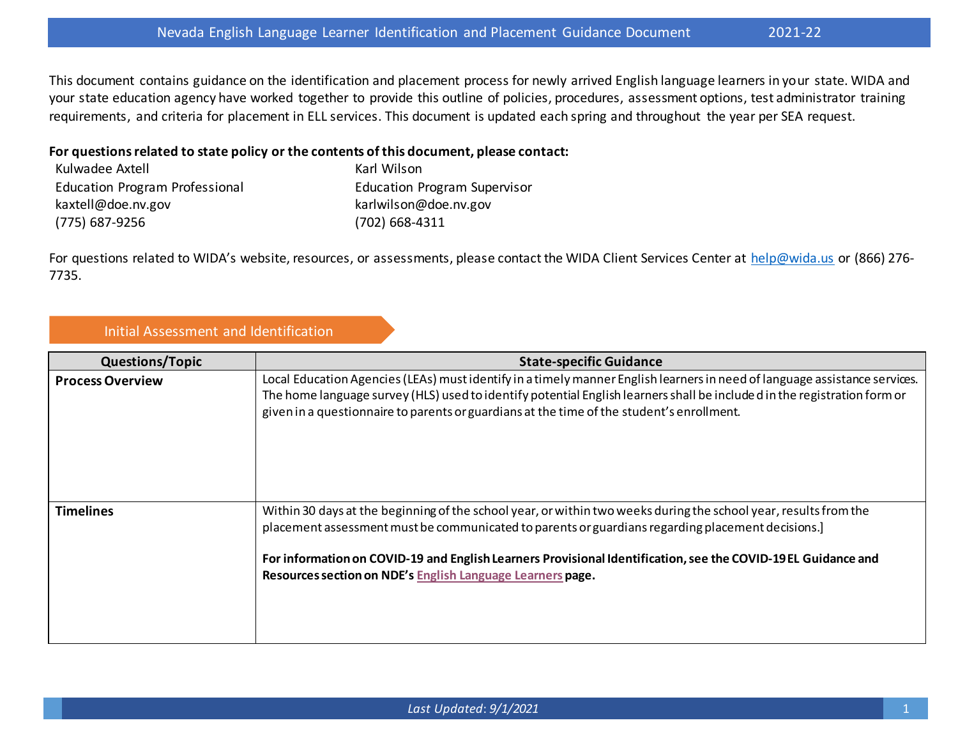This document contains guidance on the identification and placement process for newly arrived English language learners in your state. WIDA and your state education agency have worked together to provide this outline of policies, procedures, assessment options, test administrator training requirements, and criteria for placement in ELL services. This document is updated each spring and throughout the year per SEA request.

## **For questions related to state policy or the contents of this document, please contact:**

| Kulwadee Axtell                | Karl Wilson                         |
|--------------------------------|-------------------------------------|
| Education Program Professional | <b>Education Program Supervisor</b> |
| kaxtell@doe.nv.gov             | karlwilson@doe.nv.gov               |
| (775) 687-9256                 | $(702)$ 668-4311                    |

For questions related to WIDA's website, resources, or assessments, please contact the WIDA Client Services Center at [help@wida.us](mailto:help@wida.us) or (866) 276-7735.

## Initial Assessment and Identification

| <b>Questions/Topic</b>  | <b>State-specific Guidance</b>                                                                                                                                                                                                                                                                                                                                                                      |
|-------------------------|-----------------------------------------------------------------------------------------------------------------------------------------------------------------------------------------------------------------------------------------------------------------------------------------------------------------------------------------------------------------------------------------------------|
| <b>Process Overview</b> | Local Education Agencies (LEAs) must identify in a timely manner English learners in need of language assistance services.<br>The home language survey (HLS) used to identify potential English learners shall be included in the registration form or<br>given in a questionnaire to parents or guardians at the time of the student's enrollment.                                                 |
| <b>Timelines</b>        | Within 30 days at the beginning of the school year, or within two weeks during the school year, results from the<br>placement assessment must be communicated to parents or guardians regarding placement decisions.]<br>For information on COVID-19 and English Learners Provisional Identification, see the COVID-19EL Guidance and<br>Resources section on NDE's English Language Learners page. |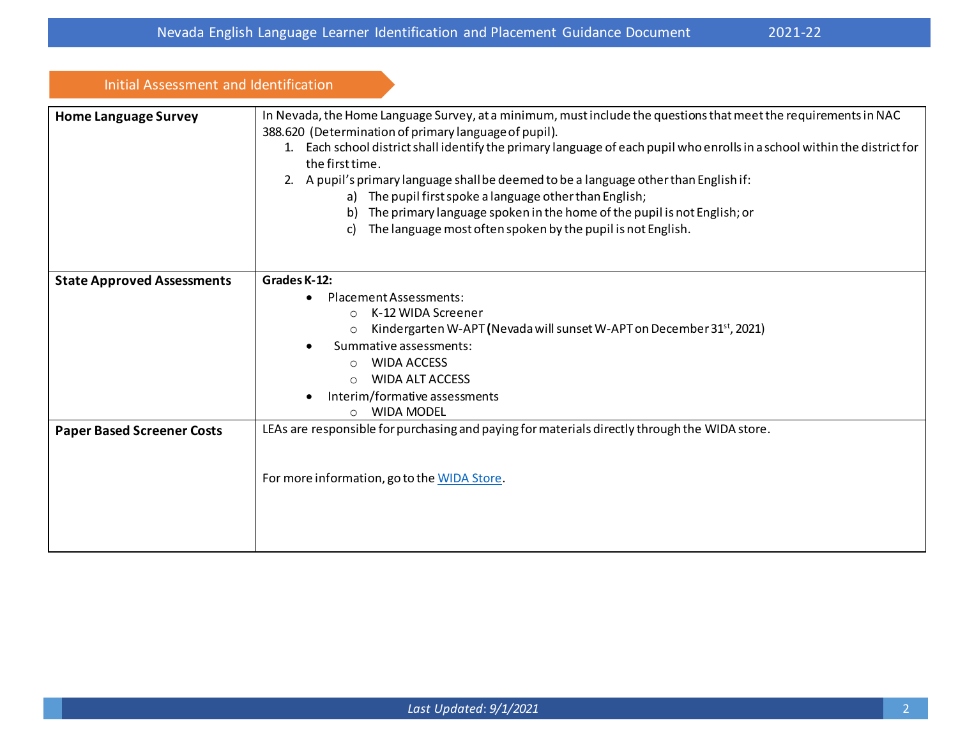| Initial Assessment and Identification |                                                                                                                                                                                                                                                                                                                                                                                                                                                                                                                                                                                                                                 |
|---------------------------------------|---------------------------------------------------------------------------------------------------------------------------------------------------------------------------------------------------------------------------------------------------------------------------------------------------------------------------------------------------------------------------------------------------------------------------------------------------------------------------------------------------------------------------------------------------------------------------------------------------------------------------------|
| <b>Home Language Survey</b>           | In Nevada, the Home Language Survey, at a minimum, must include the questions that meet the requirements in NAC<br>388.620 (Determination of primary language of pupil).<br>1. Each school district shall identify the primary language of each pupil who enrolls in a school within the district for<br>the first time.<br>2. A pupil's primary language shall be deemed to be a language other than English if:<br>a) The pupil first spoke a language other than English;<br>b) The primary language spoken in the home of the pupil is not English; or<br>The language most often spoken by the pupil is not English.<br>C) |
| <b>State Approved Assessments</b>     | Grades K-12:                                                                                                                                                                                                                                                                                                                                                                                                                                                                                                                                                                                                                    |
|                                       | Placement Assessments:<br>K-12 WIDA Screener<br>$\Omega$<br>Kindergarten W-APT (Nevada will sunset W-APT on December 31 <sup>st</sup> , 2021)<br>$\circ$<br>Summative assessments:<br><b>WIDA ACCESS</b><br>$\Omega$<br><b>WIDA ALT ACCESS</b><br>$\circ$<br>Interim/formative assessments<br><b>WIDA MODEL</b><br>$\bigcap$                                                                                                                                                                                                                                                                                                    |
| <b>Paper Based Screener Costs</b>     | LEAs are responsible for purchasing and paying for materials directly through the WIDA store.                                                                                                                                                                                                                                                                                                                                                                                                                                                                                                                                   |
|                                       | For more information, go to the WIDA Store.                                                                                                                                                                                                                                                                                                                                                                                                                                                                                                                                                                                     |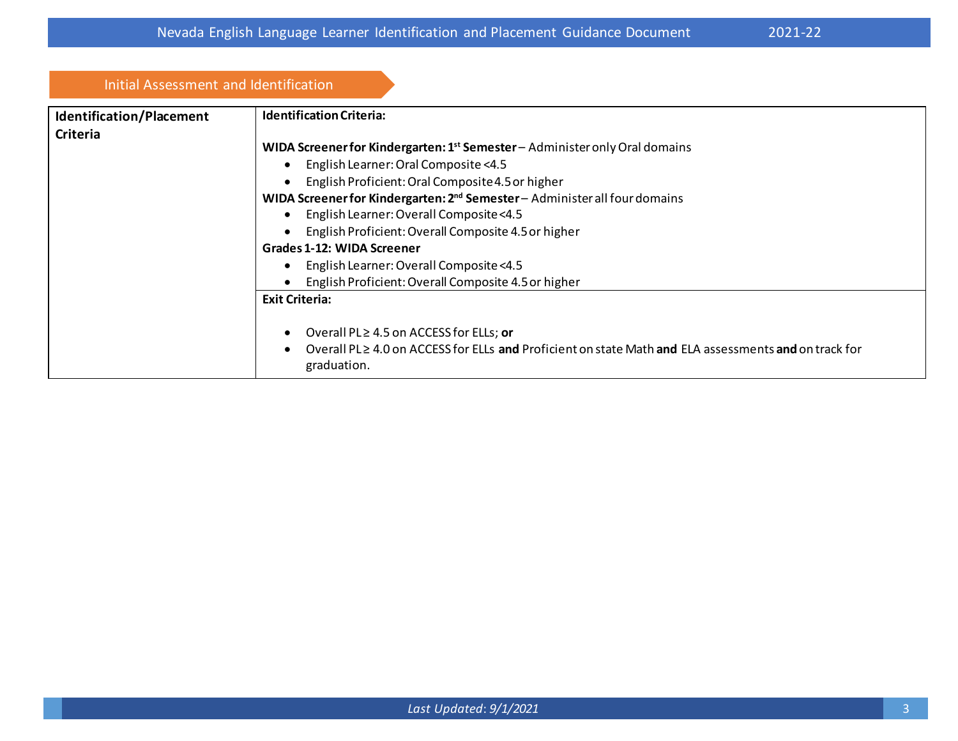Initial Assessment and Identification

| iliitidi Assessilleilt allu luelitiiltatioli |                                                                                                                           |
|----------------------------------------------|---------------------------------------------------------------------------------------------------------------------------|
| <b>Identification/Placement</b>              | <b>Identification Criteria:</b>                                                                                           |
| <b>Criteria</b>                              |                                                                                                                           |
|                                              | WIDA Screener for Kindergarten: 1 <sup>st</sup> Semester - Administer only Oral domains                                   |
|                                              | English Learner: Oral Composite <4.5                                                                                      |
|                                              | English Proficient: Oral Composite 4.5 or higher                                                                          |
|                                              | WIDA Screener for Kindergarten: 2 <sup>nd</sup> Semester - Administer all four domains                                    |
|                                              | English Learner: Overall Composite<4.5                                                                                    |
|                                              | English Proficient: Overall Composite 4.5 or higher                                                                       |
| Grades 1-12: WIDA Screener                   |                                                                                                                           |
|                                              | English Learner: Overall Composite <4.5                                                                                   |
|                                              | English Proficient: Overall Composite 4.5 or higher                                                                       |
|                                              | <b>Exit Criteria:</b>                                                                                                     |
|                                              | Overall PL≥ 4.5 on ACCESS for ELLs; or                                                                                    |
|                                              | Overall PL $\geq$ 4.0 on ACCESS for ELLs and Proficient on state Math and ELA assessments and on track for<br>graduation. |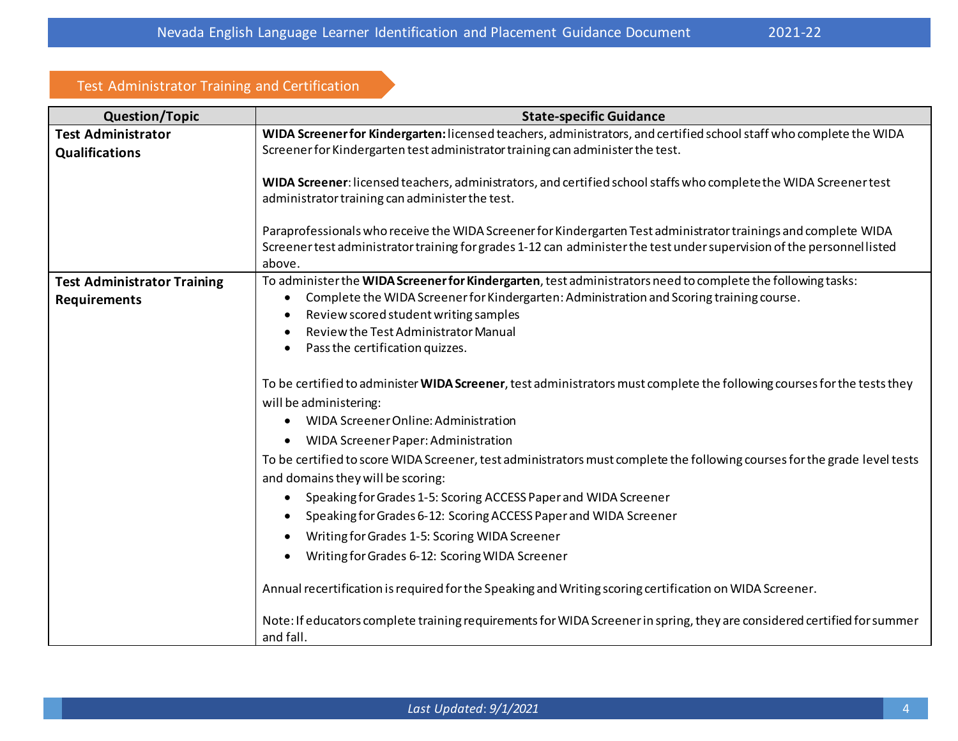## Test Administrator Training and Certification

| <b>Question/Topic</b>                                     | <b>State-specific Guidance</b>                                                                                                                                                                                                                                                                                                   |
|-----------------------------------------------------------|----------------------------------------------------------------------------------------------------------------------------------------------------------------------------------------------------------------------------------------------------------------------------------------------------------------------------------|
| <b>Test Administrator</b>                                 | WIDA Screener for Kindergarten: licensed teachers, administrators, and certified school staff who complete the WIDA                                                                                                                                                                                                              |
| <b>Qualifications</b>                                     | Screener for Kindergarten test administrator training can administer the test.                                                                                                                                                                                                                                                   |
|                                                           | WIDA Screener: licensed teachers, administrators, and certified school staffs who complete the WIDA Screener test<br>administrator training can administer the test.                                                                                                                                                             |
|                                                           | Paraprofessionals who receive the WIDA Screener for Kindergarten Test administrator trainings and complete WIDA<br>Screener test administrator training for grades 1-12 can administer the test under supervision of the personnellisted<br>above.                                                                               |
| <b>Test Administrator Training</b><br><b>Requirements</b> | To administer the WIDA Screener for Kindergarten, test administrators need to complete the following tasks:<br>Complete the WIDA Screener for Kindergarten: Administration and Scoring training course.<br>٠<br>Review scored student writing samples<br>Review the Test Administrator Manual<br>Pass the certification quizzes. |
|                                                           | To be certified to administer WIDA Screener, test administrators must complete the following courses for the tests they<br>will be administering:<br>WIDA Screener Online: Administration<br>$\bullet$                                                                                                                           |
|                                                           | <b>WIDA Screener Paper: Administration</b>                                                                                                                                                                                                                                                                                       |
|                                                           | To be certified to score WIDA Screener, test administrators must complete the following courses for the grade level tests<br>and domains they will be scoring:                                                                                                                                                                   |
|                                                           | Speaking for Grades 1-5: Scoring ACCESS Paper and WIDA Screener                                                                                                                                                                                                                                                                  |
|                                                           | Speaking for Grades 6-12: Scoring ACCESS Paper and WIDA Screener                                                                                                                                                                                                                                                                 |
|                                                           | Writing for Grades 1-5: Scoring WIDA Screener                                                                                                                                                                                                                                                                                    |
|                                                           | Writing for Grades 6-12: Scoring WIDA Screener                                                                                                                                                                                                                                                                                   |
|                                                           | Annual recertification is required for the Speaking and Writing scoring certification on WIDA Screener.                                                                                                                                                                                                                          |
|                                                           | Note: If educators complete training requirements for WIDA Screener in spring, they are considered certified for summer<br>and fall.                                                                                                                                                                                             |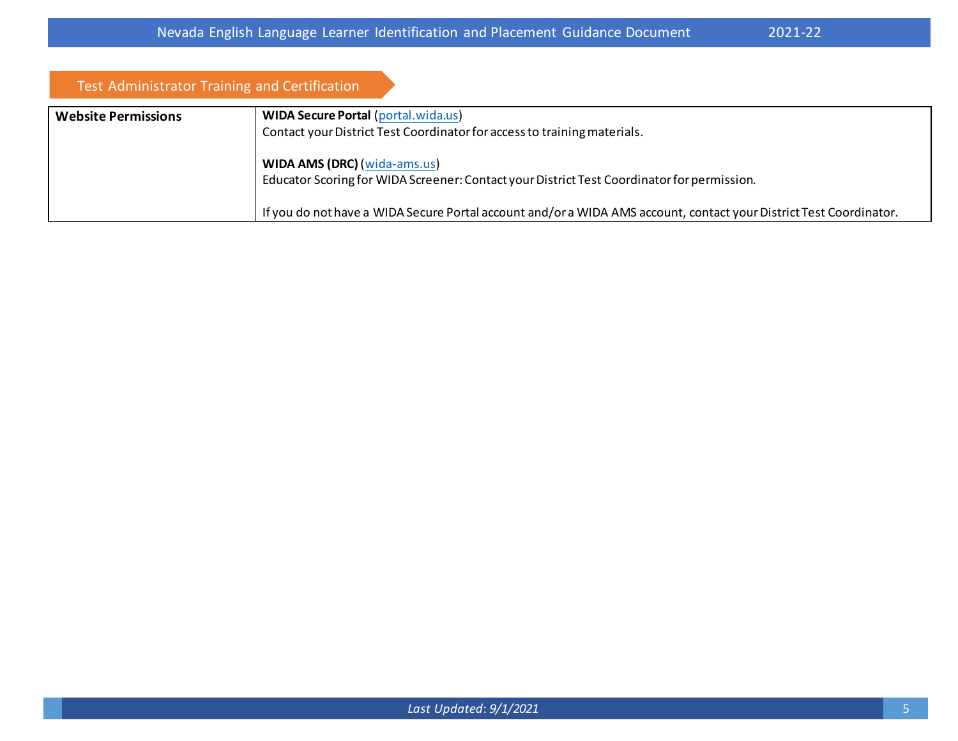| Test Administrator Training and Certification |                                                                                                                                   |
|-----------------------------------------------|-----------------------------------------------------------------------------------------------------------------------------------|
| <b>Website Permissions</b>                    | <b>WIDA Secure Portal (portal.wida.us)</b>                                                                                        |
|                                               | Contact your District Test Coordinator for access to training materials.                                                          |
|                                               | <b>WIDA AMS (DRC) (wida-ams.us)</b><br>Educator Scoring for WIDA Screener: Contact your District Test Coordinator for permission. |
|                                               | If you do not have a WIDA Secure Portal account and/or a WIDA AMS account, contact your District Test Coordinator.                |